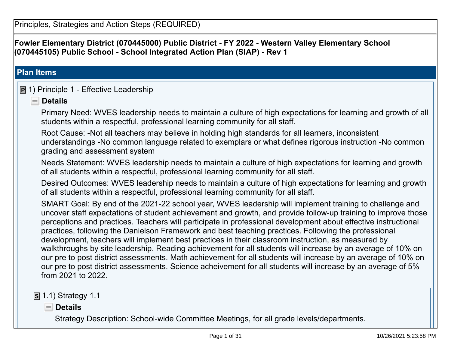**Fowler Elementary District (070445000) Public District - FY 2022 - Western Valley Elementary School(070445105) Public School - School Integrated Action Plan (SIAP) - Rev 1**

### **Plan Items**

# **P** 1) Principle 1 - Effective Leadership

### **Details**

Primary Need: WVES leadership needs to maintain a culture of high expectations for learning and growth of allstudents within a respectful, professional learning community for all staff.

Root Cause: -Not all teachers may believe in holding high standards for all learners, inconsistent understandings -No common language related to exemplars or what defines rigorous instruction -No commongrading and assessment system

 Needs Statement: WVES leadership needs to maintain a culture of high expectations for learning and growthof all students within a respectful, professional learning community for all staff.

Desired Outcomes: WVES leadership needs to maintain a culture of high expectations for learning and growthof all students within a respectful, professional learning community for all staff.

SMART Goal: By end of the 2021-22 school year, WVES leadership will implement training to challenge and uncover staff expectations of student achievement and growth, and provide follow-up training to improve thoseperceptions and practices. Teachers will participate in professional development about effective instructionalpractices, following the Danielson Framework and best teaching practices. Following the professionaldevelopment, teachers will implement best practices in their classroom instruction, as measured by walkthroughs by site leadership. Reading achievement for all students will increase by an average of 10% on our pre to post district assessments. Math achievement for all students will increase by an average of 10% on our pre to post district assessments. Science acheivement for all students will increase by an average of 5%from 2021 to 2022.

**S** 1.1) Strategy 1.1

**Details**

Strategy Description: School-wide Committee Meetings, for all grade levels/departments.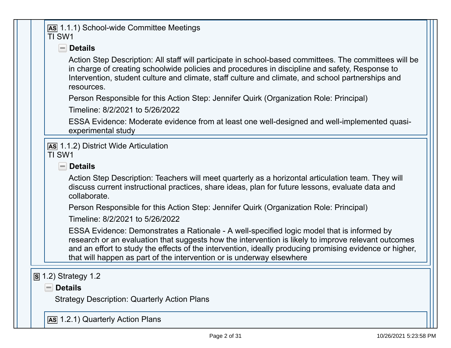|   | As 1.1.1) School-wide Committee Meetings<br>TI SW1                                                                                                                                                                                                                                                                                                                                    |
|---|---------------------------------------------------------------------------------------------------------------------------------------------------------------------------------------------------------------------------------------------------------------------------------------------------------------------------------------------------------------------------------------|
|   | $\blacksquare$ Details                                                                                                                                                                                                                                                                                                                                                                |
|   | Action Step Description: All staff will participate in school-based committees. The committees will be<br>in charge of creating schoolwide policies and procedures in discipline and safety, Response to<br>Intervention, student culture and climate, staff culture and climate, and school partnerships and<br>resources.                                                           |
|   | Person Responsible for this Action Step: Jennifer Quirk (Organization Role: Principal)                                                                                                                                                                                                                                                                                                |
|   | Timeline: 8/2/2021 to 5/26/2022                                                                                                                                                                                                                                                                                                                                                       |
|   | ESSA Evidence: Moderate evidence from at least one well-designed and well-implemented quasi-<br>experimental study                                                                                                                                                                                                                                                                    |
|   | <b>AS 1.1.2) District Wide Articulation</b><br>TI SW1                                                                                                                                                                                                                                                                                                                                 |
|   | $\blacksquare$ Details                                                                                                                                                                                                                                                                                                                                                                |
|   | Action Step Description: Teachers will meet quarterly as a horizontal articulation team. They will<br>discuss current instructional practices, share ideas, plan for future lessons, evaluate data and<br>collaborate.                                                                                                                                                                |
|   | Person Responsible for this Action Step: Jennifer Quirk (Organization Role: Principal)                                                                                                                                                                                                                                                                                                |
|   | Timeline: 8/2/2021 to 5/26/2022                                                                                                                                                                                                                                                                                                                                                       |
|   | ESSA Evidence: Demonstrates a Rationale - A well-specified logic model that is informed by<br>research or an evaluation that suggests how the intervention is likely to improve relevant outcomes<br>and an effort to study the effects of the intervention, ideally producing promising evidence or higher,<br>that will happen as part of the intervention or is underway elsewhere |
| S | 1.2) Strategy 1.2                                                                                                                                                                                                                                                                                                                                                                     |
|   | <b>Details</b><br>$\equiv$                                                                                                                                                                                                                                                                                                                                                            |
|   | <b>Strategy Description: Quarterly Action Plans</b>                                                                                                                                                                                                                                                                                                                                   |
|   | As 1.2.1) Quarterly Action Plans                                                                                                                                                                                                                                                                                                                                                      |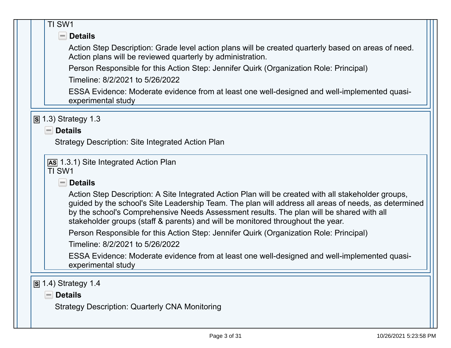| TI SW1                                                                                                                                                                                                                                                                             |
|------------------------------------------------------------------------------------------------------------------------------------------------------------------------------------------------------------------------------------------------------------------------------------|
| $\blacksquare$ Details                                                                                                                                                                                                                                                             |
| Action Step Description: Grade level action plans will be created quarterly based on areas of need.<br>Action plans will be reviewed quarterly by administration.                                                                                                                  |
| Person Responsible for this Action Step: Jennifer Quirk (Organization Role: Principal)                                                                                                                                                                                             |
| Timeline: 8/2/2021 to 5/26/2022                                                                                                                                                                                                                                                    |
| ESSA Evidence: Moderate evidence from at least one well-designed and well-implemented quasi-<br>experimental study                                                                                                                                                                 |
| $\boxed{S}$ 1.3) Strategy 1.3                                                                                                                                                                                                                                                      |
| $\blacksquare$ Details                                                                                                                                                                                                                                                             |
| Strategy Description: Site Integrated Action Plan                                                                                                                                                                                                                                  |
|                                                                                                                                                                                                                                                                                    |
| <b>AS 1.3.1) Site Integrated Action Plan</b>                                                                                                                                                                                                                                       |
|                                                                                                                                                                                                                                                                                    |
| TI SW1                                                                                                                                                                                                                                                                             |
| $\blacksquare$ Details                                                                                                                                                                                                                                                             |
| Action Step Description: A Site Integrated Action Plan will be created with all stakeholder groups,<br>by the school's Comprehensive Needs Assessment results. The plan will be shared with all<br>stakeholder groups (staff & parents) and will be monitored throughout the year. |
| Person Responsible for this Action Step: Jennifer Quirk (Organization Role: Principal)                                                                                                                                                                                             |
| Timeline: 8/2/2021 to 5/26/2022                                                                                                                                                                                                                                                    |
| ESSA Evidence: Moderate evidence from at least one well-designed and well-implemented quasi-<br>experimental study                                                                                                                                                                 |
|                                                                                                                                                                                                                                                                                    |
| $\boxed{S}$ 1.4) Strategy 1.4                                                                                                                                                                                                                                                      |
| guided by the school's Site Leadership Team. The plan will address all areas of needs, as determined<br><b>Details</b>                                                                                                                                                             |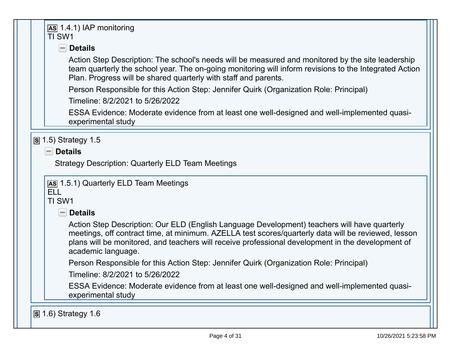### **AS** 1.4.1) IAP monitoringTI SW1

### **Details**

 Action Step Description: The school's needs will be measured and monitored by the site leadership team quarterly the school year. The on-going monitoring will inform revisions to the Integrated ActionPlan. Progress will be shared quarterly with staff and parents.

Person Responsible for this Action Step: Jennifer Quirk (Organization Role: Principal)

Timeline: 8/2/2021 to 5/26/2022

ESSA Evidence: Moderate evidence from at least one well-designed and well-implemented quasiexperimental study

# **S** 1.5) Strategy 1.5

**Details**

Strategy Description: Quarterly ELD Team Meetings

# **AS** 1.5.1) Quarterly ELD Team Meetings

# ELL

TI SW1

### **Details**

 Action Step Description: Our ELD (English Language Development) teachers will have quarterly meetings, off contract time, at minimum. AZELLA test scores/quarterly data will be reviewed, lessonplans will be monitored, and teachers will receive professional development in the development ofacademic language.

Person Responsible for this Action Step: Jennifer Quirk (Organization Role: Principal)

Timeline: 8/2/2021 to 5/26/2022

ESSA Evidence: Moderate evidence from at least one well-designed and well-implemented quasiexperimental study

**S** 1.6) Strategy 1.6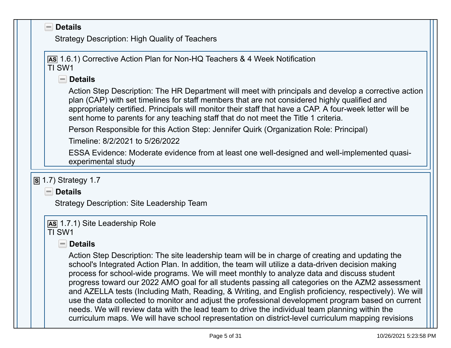| <b>Strategy Description: High Quality of Teachers</b>                                                                                                                                                                                                                                                                                                                                                  |
|--------------------------------------------------------------------------------------------------------------------------------------------------------------------------------------------------------------------------------------------------------------------------------------------------------------------------------------------------------------------------------------------------------|
| As 1.6.1) Corrective Action Plan for Non-HQ Teachers & 4 Week Notification<br>TI SW1                                                                                                                                                                                                                                                                                                                   |
| $\blacksquare$ Details                                                                                                                                                                                                                                                                                                                                                                                 |
| Action Step Description: The HR Department will meet with principals and develop a corrective action<br>plan (CAP) with set timelines for staff members that are not considered highly qualified and<br>appropriately certified. Principals will monitor their staff that have a CAP. A four-week letter will be<br>sent home to parents for any teaching staff that do not meet the Title 1 criteria. |
| Person Responsible for this Action Step: Jennifer Quirk (Organization Role: Principal)                                                                                                                                                                                                                                                                                                                 |
| Timeline: 8/2/2021 to 5/26/2022                                                                                                                                                                                                                                                                                                                                                                        |
| ESSA Evidence: Moderate evidence from at least one well-designed and well-implemented quasi-<br>experimental study                                                                                                                                                                                                                                                                                     |
|                                                                                                                                                                                                                                                                                                                                                                                                        |
| $S$ 1.7) Strategy 1.7                                                                                                                                                                                                                                                                                                                                                                                  |
| $\blacksquare$ Details                                                                                                                                                                                                                                                                                                                                                                                 |
| Strategy Description: Site Leadership Team                                                                                                                                                                                                                                                                                                                                                             |
|                                                                                                                                                                                                                                                                                                                                                                                                        |
| As 1.7.1) Site Leadership Role<br>TI SW1                                                                                                                                                                                                                                                                                                                                                               |
| $\blacksquare$ Details                                                                                                                                                                                                                                                                                                                                                                                 |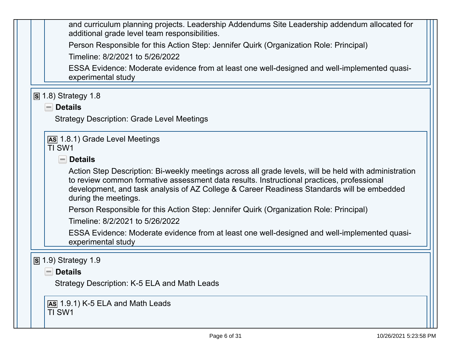and curriculum planning projects. Leadership Addendums Site Leadership addendum allocated foradditional grade level team responsibilities.Person Responsible for this Action Step: Jennifer Quirk (Organization Role: Principal)Timeline: 8/2/2021 to 5/26/2022ESSA Evidence: Moderate evidence from at least one well-designed and well-implemented quasiexperimental study**S** 1.8) Strategy 1.8**Details** Strategy Description: Grade Level Meetings**AS** 1.8.1) Grade Level MeetingsTI SW1 **Details** Action Step Description: Bi-weekly meetings across all grade levels, will be held with administrationto review common formative assessment data results. Instructional practices, professional development, and task analysis of AZ College & Career Readiness Standards will be embeddedduring the meetings.Person Responsible for this Action Step: Jennifer Quirk (Organization Role: Principal)Timeline: 8/2/2021 to 5/26/2022 ESSA Evidence: Moderate evidence from at least one well-designed and well-implemented quasiexperimental study**S** 1.9) Strategy 1.9**Details**Strategy Description: K-5 ELA and Math Leads**AS** 1.9.1) K-5 ELA and Math LeadsTI SW1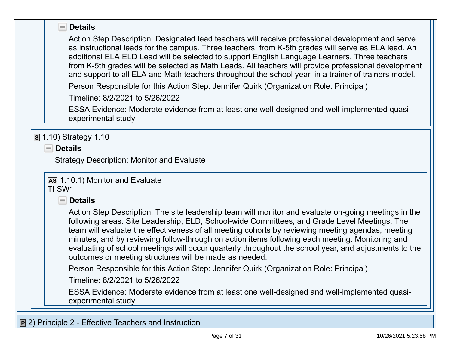| $\blacksquare$ Details                                                                                                                                                                                                                                                                                                                                                                                                                                                                                                                                                          |  |
|---------------------------------------------------------------------------------------------------------------------------------------------------------------------------------------------------------------------------------------------------------------------------------------------------------------------------------------------------------------------------------------------------------------------------------------------------------------------------------------------------------------------------------------------------------------------------------|--|
| Action Step Description: Designated lead teachers will receive professional development and serve<br>as instructional leads for the campus. Three teachers, from K-5th grades will serve as ELA lead. An<br>additional ELA ELD Lead will be selected to support English Language Learners. Three teachers<br>from K-5th grades will be selected as Math Leads. All teachers will provide professional development<br>and support to all ELA and Math teachers throughout the school year, in a trainer of trainers model.                                                       |  |
| Person Responsible for this Action Step: Jennifer Quirk (Organization Role: Principal)                                                                                                                                                                                                                                                                                                                                                                                                                                                                                          |  |
| Timeline: 8/2/2021 to 5/26/2022                                                                                                                                                                                                                                                                                                                                                                                                                                                                                                                                                 |  |
| ESSA Evidence: Moderate evidence from at least one well-designed and well-implemented quasi-<br>experimental study                                                                                                                                                                                                                                                                                                                                                                                                                                                              |  |
| $\blacksquare$ Details<br><b>Strategy Description: Monitor and Evaluate</b>                                                                                                                                                                                                                                                                                                                                                                                                                                                                                                     |  |
| AS 1.10.1) Monitor and Evaluate<br>TI SW1                                                                                                                                                                                                                                                                                                                                                                                                                                                                                                                                       |  |
| $\blacksquare$ Details                                                                                                                                                                                                                                                                                                                                                                                                                                                                                                                                                          |  |
| Action Step Description: The site leadership team will monitor and evaluate on-going meetings in the<br>following areas: Site Leadership, ELD, School-wide Committees, and Grade Level Meetings. The<br>team will evaluate the effectiveness of all meeting cohorts by reviewing meeting agendas, meeting<br>minutes, and by reviewing follow-through on action items following each meeting. Monitoring and<br>evaluating of school meetings will occur quarterly throughout the school year, and adjustments to the<br>outcomes or meeting structures will be made as needed. |  |
| Person Responsible for this Action Step: Jennifer Quirk (Organization Role: Principal)                                                                                                                                                                                                                                                                                                                                                                                                                                                                                          |  |
| Timeline: 8/2/2021 to 5/26/2022                                                                                                                                                                                                                                                                                                                                                                                                                                                                                                                                                 |  |
| ESSA Evidence: Moderate evidence from at least one well-designed and well-implemented quasi-<br>experimental study                                                                                                                                                                                                                                                                                                                                                                                                                                                              |  |
|                                                                                                                                                                                                                                                                                                                                                                                                                                                                                                                                                                                 |  |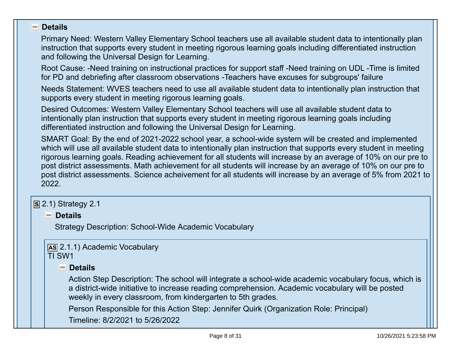#### **Details** $\overline{\phantom{a}}$

 Primary Need: Western Valley Elementary School teachers use all available student data to intentionally planinstruction that supports every student in meeting rigorous learning goals including differentiated instructionand following the Universal Design for Learning.

Root Cause: -Need training on instructional practices for support staff -Need training on UDL -Time is limitedfor PD and debriefing after classroom observations -Teachers have excuses for subgroups' failure

 Needs Statement: WVES teachers need to use all available student data to intentionally plan instruction thatsupports every student in meeting rigorous learning goals.

Desired Outcomes: Western Valley Elementary School teachers will use all available student data to intentionally plan instruction that supports every student in meeting rigorous learning goals includingdifferentiated instruction and following the Universal Design for Learning.

SMART Goal: By the end of 2021-2022 school year, a school-wide system will be created and implemented which will use all available student data to intentionally plan instruction that supports every student in meeting rigorous learning goals. Reading achievement for all students will increase by an average of 10% on our pre to post district assessments. Math achievement for all students will increase by an average of 10% on our pre to post district assessments. Science acheivement for all students will increase by an average of 5% from 2021 to2022.

# **S** 2.1) Strategy 2.1

**Details**

Strategy Description: School-Wide Academic Vocabulary

# **AS** 2.1.1) Academic Vocabulary

TI SW1

### **Details**

Action Step Description: The school will integrate a school-wide academic vocabulary focus, which isa district-wide initiative to increase reading comprehension. Academic vocabulary will be postedweekly in every classroom, from kindergarten to 5th grades.

Person Responsible for this Action Step: Jennifer Quirk (Organization Role: Principal)

Timeline: 8/2/2021 to 5/26/2022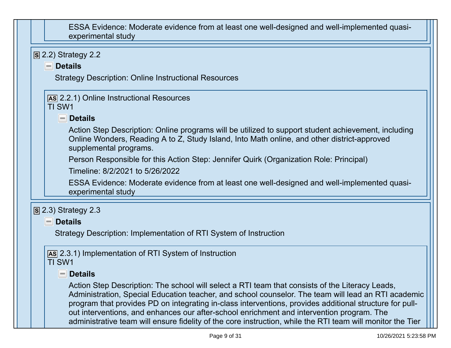| ESSA Evidence: Moderate evidence from at least one well-designed and well-implemented quasi-<br>experimental study                                                                                                                                                                                                                                                                                                                                                                                                           |
|------------------------------------------------------------------------------------------------------------------------------------------------------------------------------------------------------------------------------------------------------------------------------------------------------------------------------------------------------------------------------------------------------------------------------------------------------------------------------------------------------------------------------|
| $\boxed{S}$ 2.2) Strategy 2.2                                                                                                                                                                                                                                                                                                                                                                                                                                                                                                |
| $\blacksquare$ Details                                                                                                                                                                                                                                                                                                                                                                                                                                                                                                       |
| <b>Strategy Description: Online Instructional Resources</b>                                                                                                                                                                                                                                                                                                                                                                                                                                                                  |
| [AS 2.2.1] Online Instructional Resources<br>TI SW1                                                                                                                                                                                                                                                                                                                                                                                                                                                                          |
| $\blacksquare$ Details                                                                                                                                                                                                                                                                                                                                                                                                                                                                                                       |
| Action Step Description: Online programs will be utilized to support student achievement, including<br>Online Wonders, Reading A to Z, Study Island, Into Math online, and other district-approved<br>supplemental programs.                                                                                                                                                                                                                                                                                                 |
| Person Responsible for this Action Step: Jennifer Quirk (Organization Role: Principal)                                                                                                                                                                                                                                                                                                                                                                                                                                       |
| Timeline: 8/2/2021 to 5/26/2022                                                                                                                                                                                                                                                                                                                                                                                                                                                                                              |
| ESSA Evidence: Moderate evidence from at least one well-designed and well-implemented quasi-<br>experimental study                                                                                                                                                                                                                                                                                                                                                                                                           |
| $\overline{S}$ 2.3) Strategy 2.3                                                                                                                                                                                                                                                                                                                                                                                                                                                                                             |
| <b>Details</b><br>$=$                                                                                                                                                                                                                                                                                                                                                                                                                                                                                                        |
| Strategy Description: Implementation of RTI System of Instruction                                                                                                                                                                                                                                                                                                                                                                                                                                                            |
| AS 2.3.1) Implementation of RTI System of Instruction<br>TI SW1                                                                                                                                                                                                                                                                                                                                                                                                                                                              |
| <u>– Details</u>                                                                                                                                                                                                                                                                                                                                                                                                                                                                                                             |
| Action Step Description: The school will select a RTI team that consists of the Literacy Leads,<br>Administration, Special Education teacher, and school counselor. The team will lead an RTI academic<br>program that provides PD on integrating in-class interventions, provides additional structure for pull-<br>out interventions, and enhances our after-school enrichment and intervention program. The<br>administrative team will ensure fidelity of the core instruction, while the RTI team will monitor the Tier |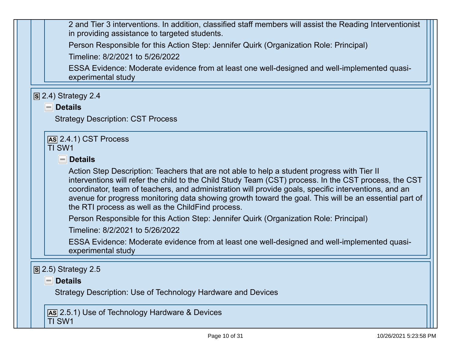2 and Tier 3 interventions. In addition, classified staff members will assist the Reading Interventionistin providing assistance to targeted students.

Person Responsible for this Action Step: Jennifer Quirk (Organization Role: Principal)

Timeline: 8/2/2021 to 5/26/2022

 ESSA Evidence: Moderate evidence from at least one well-designed and well-implemented quasiexperimental study

| $\overline{S}$ 2.4) Strategy 2.4<br>$\blacksquare$ Details<br><b>Strategy Description: CST Process</b>                                                                                                                                                                                                                                                                                                                                                                     |
|----------------------------------------------------------------------------------------------------------------------------------------------------------------------------------------------------------------------------------------------------------------------------------------------------------------------------------------------------------------------------------------------------------------------------------------------------------------------------|
| $AS$ 2.4.1) CST Process<br>TI SW1                                                                                                                                                                                                                                                                                                                                                                                                                                          |
| $\blacksquare$ Details                                                                                                                                                                                                                                                                                                                                                                                                                                                     |
| Action Step Description: Teachers that are not able to help a student progress with Tier II<br>interventions will refer the child to the Child Study Team (CST) process. In the CST process, the CST<br>coordinator, team of teachers, and administration will provide goals, specific interventions, and an<br>avenue for progress monitoring data showing growth toward the goal. This will be an essential part of<br>the RTI process as well as the ChildFind process. |
| Person Responsible for this Action Step: Jennifer Quirk (Organization Role: Principal)<br>Timeline: 8/2/2021 to 5/26/2022                                                                                                                                                                                                                                                                                                                                                  |
| ESSA Evidence: Moderate evidence from at least one well-designed and well-implemented quasi-<br>experimental study                                                                                                                                                                                                                                                                                                                                                         |
| $\overline{S}$ 2.5) Strategy 2.5                                                                                                                                                                                                                                                                                                                                                                                                                                           |
| $\blacksquare$ Details<br>Strategy Description: Use of Technology Hardware and Devices                                                                                                                                                                                                                                                                                                                                                                                     |
| As 2.5.1) Use of Technology Hardware & Devices<br>TI SW1                                                                                                                                                                                                                                                                                                                                                                                                                   |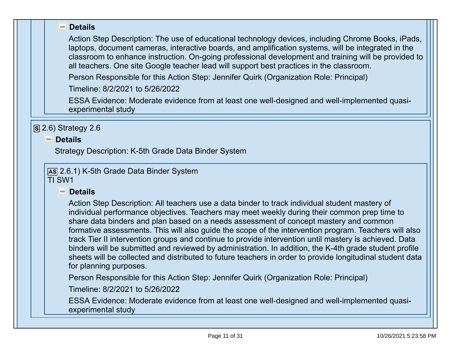|  | - Details                                                                                                                                                                                                                                                                                                                                                                                                                                                                                                                                                                                                                                                                                                                                                   |
|--|-------------------------------------------------------------------------------------------------------------------------------------------------------------------------------------------------------------------------------------------------------------------------------------------------------------------------------------------------------------------------------------------------------------------------------------------------------------------------------------------------------------------------------------------------------------------------------------------------------------------------------------------------------------------------------------------------------------------------------------------------------------|
|  | Action Step Description: The use of educational technology devices, including Chrome Books, iPads,<br>laptops, document cameras, interactive boards, and amplification systems, will be integrated in the<br>classroom to enhance instruction. On-going professional development and training will be provided to<br>all teachers. One site Google teacher lead will support best practices in the classroom.                                                                                                                                                                                                                                                                                                                                               |
|  | Person Responsible for this Action Step: Jennifer Quirk (Organization Role: Principal)                                                                                                                                                                                                                                                                                                                                                                                                                                                                                                                                                                                                                                                                      |
|  | Timeline: 8/2/2021 to 5/26/2022                                                                                                                                                                                                                                                                                                                                                                                                                                                                                                                                                                                                                                                                                                                             |
|  | ESSA Evidence: Moderate evidence from at least one well-designed and well-implemented quasi-<br>experimental study                                                                                                                                                                                                                                                                                                                                                                                                                                                                                                                                                                                                                                          |
|  | $\boxed{S}$ 2.6) Strategy 2.6                                                                                                                                                                                                                                                                                                                                                                                                                                                                                                                                                                                                                                                                                                                               |
|  | $\blacksquare$ Details                                                                                                                                                                                                                                                                                                                                                                                                                                                                                                                                                                                                                                                                                                                                      |
|  | Strategy Description: K-5th Grade Data Binder System                                                                                                                                                                                                                                                                                                                                                                                                                                                                                                                                                                                                                                                                                                        |
|  | As 2.6.1) K-5th Grade Data Binder System<br>TI SW1                                                                                                                                                                                                                                                                                                                                                                                                                                                                                                                                                                                                                                                                                                          |
|  | $\blacksquare$ Details                                                                                                                                                                                                                                                                                                                                                                                                                                                                                                                                                                                                                                                                                                                                      |
|  | Action Step Description: All teachers use a data binder to track individual student mastery of<br>individual performance objectives. Teachers may meet weekly during their common prep time to<br>share data binders and plan based on a needs assessment of concept mastery and common<br>formative assessments. This will also guide the scope of the intervention program. Teachers will also<br>track Tier II intervention groups and continue to provide intervention until mastery is achieved. Data<br>binders will be submitted and reviewed by administration. In addition, the K-4th grade student profile<br>sheets will be collected and distributed to future teachers in order to provide longitudinal student data<br>for planning purposes. |
|  | Person Responsible for this Action Step: Jennifer Quirk (Organization Role: Principal)                                                                                                                                                                                                                                                                                                                                                                                                                                                                                                                                                                                                                                                                      |
|  | Timeline: 8/2/2021 to 5/26/2022                                                                                                                                                                                                                                                                                                                                                                                                                                                                                                                                                                                                                                                                                                                             |
|  | ESSA Evidence: Moderate evidence from at least one well-designed and well-implemented quasi-<br>experimental study                                                                                                                                                                                                                                                                                                                                                                                                                                                                                                                                                                                                                                          |
|  |                                                                                                                                                                                                                                                                                                                                                                                                                                                                                                                                                                                                                                                                                                                                                             |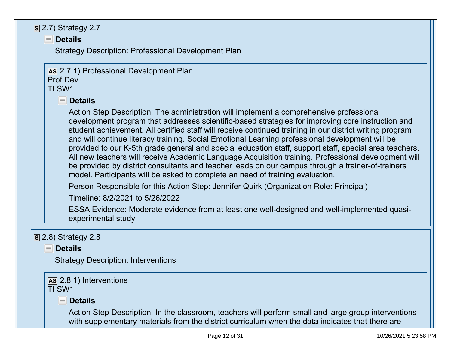| $\boxed{S}$ 2.7) Strategy 2.7                                                                                                                                                                                                                                                                                                                                                                                                                                                                                                                                                                                                                                                                                                                                                                                      |
|--------------------------------------------------------------------------------------------------------------------------------------------------------------------------------------------------------------------------------------------------------------------------------------------------------------------------------------------------------------------------------------------------------------------------------------------------------------------------------------------------------------------------------------------------------------------------------------------------------------------------------------------------------------------------------------------------------------------------------------------------------------------------------------------------------------------|
| $\blacksquare$ Details                                                                                                                                                                                                                                                                                                                                                                                                                                                                                                                                                                                                                                                                                                                                                                                             |
| Strategy Description: Professional Development Plan                                                                                                                                                                                                                                                                                                                                                                                                                                                                                                                                                                                                                                                                                                                                                                |
|                                                                                                                                                                                                                                                                                                                                                                                                                                                                                                                                                                                                                                                                                                                                                                                                                    |
| As 2.7.1) Professional Development Plan<br><b>Prof Dev</b>                                                                                                                                                                                                                                                                                                                                                                                                                                                                                                                                                                                                                                                                                                                                                         |
| TI SW1                                                                                                                                                                                                                                                                                                                                                                                                                                                                                                                                                                                                                                                                                                                                                                                                             |
| $\blacksquare$ Details                                                                                                                                                                                                                                                                                                                                                                                                                                                                                                                                                                                                                                                                                                                                                                                             |
| Action Step Description: The administration will implement a comprehensive professional<br>development program that addresses scientific-based strategies for improving core instruction and<br>student achievement. All certified staff will receive continued training in our district writing program<br>and will continue literacy training. Social Emotional Learning professional development will be<br>provided to our K-5th grade general and special education staff, support staff, special area teachers.<br>All new teachers will receive Academic Language Acquisition training. Professional development will<br>be provided by district consultants and teacher leads on our campus through a trainer-of-trainers<br>model. Participants will be asked to complete an need of training evaluation. |
| Person Responsible for this Action Step: Jennifer Quirk (Organization Role: Principal)                                                                                                                                                                                                                                                                                                                                                                                                                                                                                                                                                                                                                                                                                                                             |
| Timeline: 8/2/2021 to 5/26/2022                                                                                                                                                                                                                                                                                                                                                                                                                                                                                                                                                                                                                                                                                                                                                                                    |
| ESSA Evidence: Moderate evidence from at least one well-designed and well-implemented quasi-<br>experimental study                                                                                                                                                                                                                                                                                                                                                                                                                                                                                                                                                                                                                                                                                                 |
| $\boxed{S}$ 2.8) Strategy 2.8                                                                                                                                                                                                                                                                                                                                                                                                                                                                                                                                                                                                                                                                                                                                                                                      |
| <b>Details</b><br>$=$ $\overline{ }$                                                                                                                                                                                                                                                                                                                                                                                                                                                                                                                                                                                                                                                                                                                                                                               |
| <b>Strategy Description: Interventions</b>                                                                                                                                                                                                                                                                                                                                                                                                                                                                                                                                                                                                                                                                                                                                                                         |
| AS 2.8.1) Interventions<br>TI SW1                                                                                                                                                                                                                                                                                                                                                                                                                                                                                                                                                                                                                                                                                                                                                                                  |
| $\blacksquare$ Details                                                                                                                                                                                                                                                                                                                                                                                                                                                                                                                                                                                                                                                                                                                                                                                             |
| Action Step Description: In the classroom, teachers will perform small and large group interventions<br>with supplementary materials from the district curriculum when the data indicates that there are                                                                                                                                                                                                                                                                                                                                                                                                                                                                                                                                                                                                           |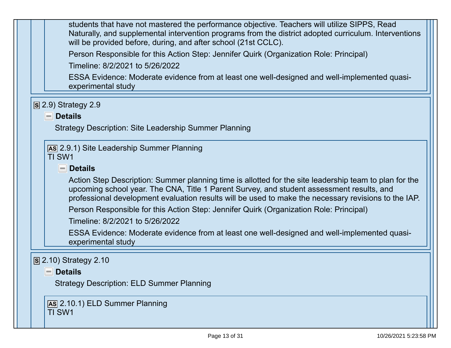| students that have not mastered the performance objective. Teachers will utilize SIPPS, Read           |  |  |
|--------------------------------------------------------------------------------------------------------|--|--|
| Naturally, and supplemental intervention programs from the district adopted curriculum. Interventions  |  |  |
| will be provided before, during, and after school (21st CCLC).                                         |  |  |
|                                                                                                        |  |  |
| Person Responsible for this Action Step: Jennifer Quirk (Organization Role: Principal)                 |  |  |
| Timeline: 8/2/2021 to 5/26/2022                                                                        |  |  |
|                                                                                                        |  |  |
| ESSA Evidence: Moderate evidence from at least one well-designed and well-implemented quasi-           |  |  |
| experimental study                                                                                     |  |  |
|                                                                                                        |  |  |
|                                                                                                        |  |  |
| $\boxed{S}$ 2.9) Strategy 2.9                                                                          |  |  |
| $\blacksquare$ Details                                                                                 |  |  |
|                                                                                                        |  |  |
| <b>Strategy Description: Site Leadership Summer Planning</b>                                           |  |  |
|                                                                                                        |  |  |
| As 2.9.1) Site Leadership Summer Planning                                                              |  |  |
| TI SW1                                                                                                 |  |  |
|                                                                                                        |  |  |
| <b>Details</b><br>$=$                                                                                  |  |  |
|                                                                                                        |  |  |
| Action Step Description: Summer planning time is allotted for the site leadership team to plan for the |  |  |
| upcoming school year. The CNA, Title 1 Parent Survey, and student assessment results, and              |  |  |
| professional development evaluation results will be used to make the necessary revisions to the IAP.   |  |  |
|                                                                                                        |  |  |
| Person Responsible for this Action Step: Jennifer Quirk (Organization Role: Principal)                 |  |  |
| Timeline: 8/2/2021 to 5/26/2022                                                                        |  |  |
|                                                                                                        |  |  |
| ESSA Evidence: Moderate evidence from at least one well-designed and well-implemented quasi-           |  |  |
| experimental study                                                                                     |  |  |
|                                                                                                        |  |  |
|                                                                                                        |  |  |
| $\overline{S}$ 2.10) Strategy 2.10                                                                     |  |  |
| $\blacksquare$ Details                                                                                 |  |  |
|                                                                                                        |  |  |
| <b>Strategy Description: ELD Summer Planning</b>                                                       |  |  |
|                                                                                                        |  |  |
| AS 2.10.1) ELD Summer Planning                                                                         |  |  |
| TI SW1                                                                                                 |  |  |
|                                                                                                        |  |  |
|                                                                                                        |  |  |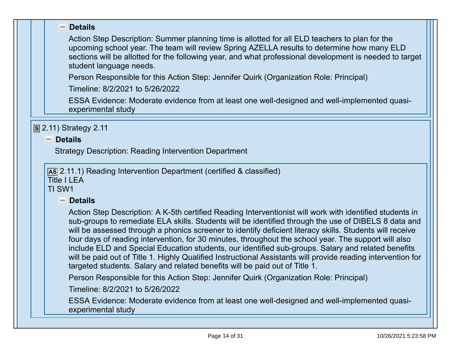| $\blacksquare$ Details                                                                                                                                                                                                                                                                                                                                                                                                                                                                                                                                                                                                                                                                                                                    |
|-------------------------------------------------------------------------------------------------------------------------------------------------------------------------------------------------------------------------------------------------------------------------------------------------------------------------------------------------------------------------------------------------------------------------------------------------------------------------------------------------------------------------------------------------------------------------------------------------------------------------------------------------------------------------------------------------------------------------------------------|
| Action Step Description: Summer planning time is allotted for all ELD teachers to plan for the<br>upcoming school year. The team will review Spring AZELLA results to determine how many ELD<br>sections will be allotted for the following year, and what professional development is needed to target<br>student language needs.                                                                                                                                                                                                                                                                                                                                                                                                        |
| Person Responsible for this Action Step: Jennifer Quirk (Organization Role: Principal)                                                                                                                                                                                                                                                                                                                                                                                                                                                                                                                                                                                                                                                    |
| Timeline: 8/2/2021 to 5/26/2022                                                                                                                                                                                                                                                                                                                                                                                                                                                                                                                                                                                                                                                                                                           |
| ESSA Evidence: Moderate evidence from at least one well-designed and well-implemented quasi-<br>experimental study                                                                                                                                                                                                                                                                                                                                                                                                                                                                                                                                                                                                                        |
| $\overline{S}$ 2.11) Strategy 2.11                                                                                                                                                                                                                                                                                                                                                                                                                                                                                                                                                                                                                                                                                                        |
| $\blacksquare$ Details                                                                                                                                                                                                                                                                                                                                                                                                                                                                                                                                                                                                                                                                                                                    |
| <b>Strategy Description: Reading Intervention Department</b>                                                                                                                                                                                                                                                                                                                                                                                                                                                                                                                                                                                                                                                                              |
| As 2.11.1) Reading Intervention Department (certified & classified)<br><b>Title I LEA</b><br>TI SW1                                                                                                                                                                                                                                                                                                                                                                                                                                                                                                                                                                                                                                       |
| $\blacksquare$ Details                                                                                                                                                                                                                                                                                                                                                                                                                                                                                                                                                                                                                                                                                                                    |
| Action Step Description: A K-5th certified Reading Interventionist will work with identified students in<br>sub-groups to remediate ELA skills. Students will be identified through the use of DIBELS 8 data and<br>will be assessed through a phonics screener to identify deficient literacy skills. Students will receive<br>four days of reading intervention, for 30 minutes, throughout the school year. The support will also<br>include ELD and Special Education students, our identified sub-groups. Salary and related benefits<br>will be paid out of Title 1. Highly Qualified Instructional Assistants will provide reading intervention for<br>targeted students. Salary and related benefits will be paid out of Title 1. |
| Person Responsible for this Action Step: Jennifer Quirk (Organization Role: Principal)                                                                                                                                                                                                                                                                                                                                                                                                                                                                                                                                                                                                                                                    |
| Timeline: 8/2/2021 to 5/26/2022                                                                                                                                                                                                                                                                                                                                                                                                                                                                                                                                                                                                                                                                                                           |
| ESSA Evidence: Moderate evidence from at least one well-designed and well-implemented quasi-<br>experimental study                                                                                                                                                                                                                                                                                                                                                                                                                                                                                                                                                                                                                        |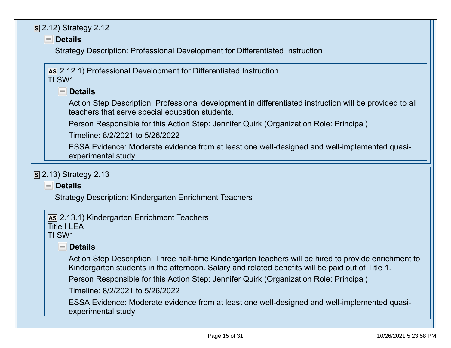|        | S 2.12) Strategy 2.12                                                                                                                                      |
|--------|------------------------------------------------------------------------------------------------------------------------------------------------------------|
|        | $\blacksquare$ Details                                                                                                                                     |
|        | Strategy Description: Professional Development for Differentiated Instruction                                                                              |
|        |                                                                                                                                                            |
|        | As 2.12.1) Professional Development for Differentiated Instruction                                                                                         |
| TI SW1 |                                                                                                                                                            |
|        | $\blacksquare$ Details                                                                                                                                     |
|        | Action Step Description: Professional development in differentiated instruction will be provided to all<br>teachers that serve special education students. |
|        | Person Responsible for this Action Step: Jennifer Quirk (Organization Role: Principal)                                                                     |
|        | Timeline: 8/2/2021 to 5/26/2022                                                                                                                            |
|        | ESSA Evidence: Moderate evidence from at least one well-designed and well-implemented quasi-                                                               |
|        | experimental study                                                                                                                                         |
|        |                                                                                                                                                            |
|        | $\boxed{S}$ 2.13) Strategy 2.13                                                                                                                            |
|        | $\blacksquare$ Details                                                                                                                                     |
|        | <b>Strategy Description: Kindergarten Enrichment Teachers</b>                                                                                              |
|        |                                                                                                                                                            |
|        | As 2.13.1) Kindergarten Enrichment Teachers<br><b>Title I LEA</b>                                                                                          |
| TI SW1 |                                                                                                                                                            |
|        | $\blacksquare$ Details                                                                                                                                     |
|        | Action Step Description: Three half-time Kindergarten teachers will be hired to provide enrichment to                                                      |
|        | Kindergarten students in the afternoon. Salary and related benefits will be paid out of Title 1.                                                           |
|        | Person Responsible for this Action Step: Jennifer Quirk (Organization Role: Principal)                                                                     |
|        | Timeline: 8/2/2021 to 5/26/2022                                                                                                                            |
|        | ESSA Evidence: Moderate evidence from at least one well-designed and well-implemented quasi-                                                               |
|        |                                                                                                                                                            |
|        | experimental study                                                                                                                                         |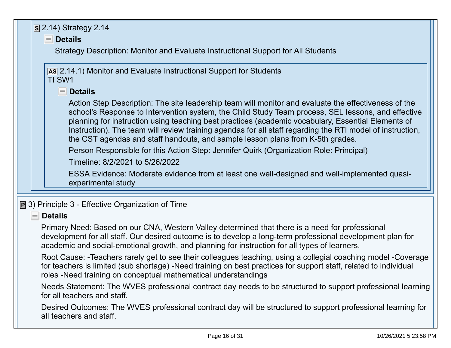|  | $\boxed{S}$ 2.14) Strategy 2.14<br>$\blacksquare$ Details                                                                                                                                                                                                                                                                                                                                                                                                                                                       |
|--|-----------------------------------------------------------------------------------------------------------------------------------------------------------------------------------------------------------------------------------------------------------------------------------------------------------------------------------------------------------------------------------------------------------------------------------------------------------------------------------------------------------------|
|  | Strategy Description: Monitor and Evaluate Instructional Support for All Students                                                                                                                                                                                                                                                                                                                                                                                                                               |
|  | AS 2.14.1) Monitor and Evaluate Instructional Support for Students<br>TI SW1                                                                                                                                                                                                                                                                                                                                                                                                                                    |
|  | $\blacksquare$ Details                                                                                                                                                                                                                                                                                                                                                                                                                                                                                          |
|  | Action Step Description: The site leadership team will monitor and evaluate the effectiveness of the<br>school's Response to Intervention system, the Child Study Team process, SEL lessons, and effective<br>planning for instruction using teaching best practices (academic vocabulary, Essential Elements of<br>Instruction). The team will review training agendas for all staff regarding the RTI model of instruction,<br>the CST agendas and staff handouts, and sample lesson plans from K-5th grades. |
|  | Person Responsible for this Action Step: Jennifer Quirk (Organization Role: Principal)                                                                                                                                                                                                                                                                                                                                                                                                                          |
|  | Timeline: 8/2/2021 to 5/26/2022                                                                                                                                                                                                                                                                                                                                                                                                                                                                                 |
|  | ESSA Evidence: Moderate evidence from at least one well-designed and well-implemented quasi-<br>experimental study                                                                                                                                                                                                                                                                                                                                                                                              |
|  | $\boxed{P}$ 3) Principle 3 - Effective Organization of Time                                                                                                                                                                                                                                                                                                                                                                                                                                                     |
|  | $\blacksquare$ Details                                                                                                                                                                                                                                                                                                                                                                                                                                                                                          |
|  | Primary Need: Based on our CNA, Western Valley determined that there is a need for professional<br>development for all staff. Our desired outcome is to develop a long-term professional development plan for<br>academic and social-emotional growth, and planning for instruction for all types of learners.                                                                                                                                                                                                  |
|  | Root Cause: -Teachers rarely get to see their colleagues teaching, using a collegial coaching model -Coverage<br>for teachers is limited (sub shortage) -Need training on best practices for support staff, related to individual<br>roles -Need training on conceptual mathematical understandings                                                                                                                                                                                                             |
|  | Needs Statement: The WVES professional contract day needs to be structured to support professional learning<br>for all teachers and staff.                                                                                                                                                                                                                                                                                                                                                                      |
|  | Desired Outcomes: The WVES professional contract day will be structured to support professional learning for<br>all teachers and staff.                                                                                                                                                                                                                                                                                                                                                                         |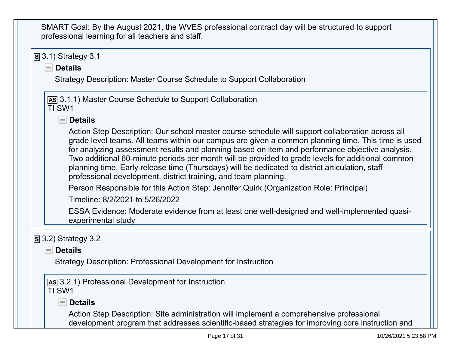| SMART Goal: By the August 2021, the WVES professional contract day will be structured to support<br>professional learning for all teachers and staff.                                                                                                                                                                                                                                                                                                                                                                                                                                |
|--------------------------------------------------------------------------------------------------------------------------------------------------------------------------------------------------------------------------------------------------------------------------------------------------------------------------------------------------------------------------------------------------------------------------------------------------------------------------------------------------------------------------------------------------------------------------------------|
| $\boxed{S}$ 3.1) Strategy 3.1                                                                                                                                                                                                                                                                                                                                                                                                                                                                                                                                                        |
| $\blacksquare$ Details                                                                                                                                                                                                                                                                                                                                                                                                                                                                                                                                                               |
| Strategy Description: Master Course Schedule to Support Collaboration                                                                                                                                                                                                                                                                                                                                                                                                                                                                                                                |
| <b>AS 3.1.1) Master Course Schedule to Support Collaboration</b><br>TI SW1                                                                                                                                                                                                                                                                                                                                                                                                                                                                                                           |
| $\blacksquare$ Details                                                                                                                                                                                                                                                                                                                                                                                                                                                                                                                                                               |
| Action Step Description: Our school master course schedule will support collaboration across all<br>grade level teams. All teams within our campus are given a common planning time. This time is used<br>for analyzing assessment results and planning based on item and performance objective analysis.<br>Two additional 60-minute periods per month will be provided to grade levels for additional common<br>planning time. Early release time (Thursdays) will be dedicated to district articulation, staff<br>professional development, district training, and team planning. |
| Person Responsible for this Action Step: Jennifer Quirk (Organization Role: Principal)                                                                                                                                                                                                                                                                                                                                                                                                                                                                                               |
| Timeline: 8/2/2021 to 5/26/2022                                                                                                                                                                                                                                                                                                                                                                                                                                                                                                                                                      |
| ESSA Evidence: Moderate evidence from at least one well-designed and well-implemented quasi-<br>experimental study                                                                                                                                                                                                                                                                                                                                                                                                                                                                   |
| $\boxed{S}$ 3.2) Strategy 3.2                                                                                                                                                                                                                                                                                                                                                                                                                                                                                                                                                        |
| $\blacksquare$ Details                                                                                                                                                                                                                                                                                                                                                                                                                                                                                                                                                               |
| Strategy Description: Professional Development for Instruction                                                                                                                                                                                                                                                                                                                                                                                                                                                                                                                       |
| AS 3.2.1) Professional Development for Instruction<br>TI SW1                                                                                                                                                                                                                                                                                                                                                                                                                                                                                                                         |
| $\blacksquare$ Details                                                                                                                                                                                                                                                                                                                                                                                                                                                                                                                                                               |
| Action Step Description: Site administration will implement a comprehensive professional<br>development program that addresses scientific-based strategies for improving core instruction and                                                                                                                                                                                                                                                                                                                                                                                        |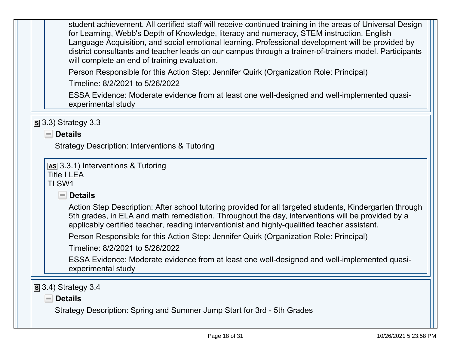| student achievement. All certified staff will receive continued training in the areas of Universal Design<br>for Learning, Webb's Depth of Knowledge, literacy and numeracy, STEM instruction, English<br>Language Acquisition, and social emotional learning. Professional development will be provided by<br>district consultants and teacher leads on our campus through a trainer-of-trainers model. Participants<br>will complete an end of training evaluation. |
|-----------------------------------------------------------------------------------------------------------------------------------------------------------------------------------------------------------------------------------------------------------------------------------------------------------------------------------------------------------------------------------------------------------------------------------------------------------------------|
| Person Responsible for this Action Step: Jennifer Quirk (Organization Role: Principal)                                                                                                                                                                                                                                                                                                                                                                                |
| Timeline: 8/2/2021 to 5/26/2022                                                                                                                                                                                                                                                                                                                                                                                                                                       |
| ESSA Evidence: Moderate evidence from at least one well-designed and well-implemented quasi-<br>experimental study                                                                                                                                                                                                                                                                                                                                                    |
| $\boxed{S}$ 3.3) Strategy 3.3                                                                                                                                                                                                                                                                                                                                                                                                                                         |
| $\blacksquare$ Details                                                                                                                                                                                                                                                                                                                                                                                                                                                |
|                                                                                                                                                                                                                                                                                                                                                                                                                                                                       |
|                                                                                                                                                                                                                                                                                                                                                                                                                                                                       |
| <b>Strategy Description: Interventions &amp; Tutoring</b>                                                                                                                                                                                                                                                                                                                                                                                                             |
| As 3.3.1) Interventions & Tutoring<br><b>Title I LEA</b><br>TI SW1                                                                                                                                                                                                                                                                                                                                                                                                    |
| <b>Details</b><br>$\left  - \right $                                                                                                                                                                                                                                                                                                                                                                                                                                  |
| Action Step Description: After school tutoring provided for all targeted students, Kindergarten through<br>5th grades, in ELA and math remediation. Throughout the day, interventions will be provided by a<br>applicably certified teacher, reading interventionist and highly-qualified teacher assistant.                                                                                                                                                          |
| Person Responsible for this Action Step: Jennifer Quirk (Organization Role: Principal)                                                                                                                                                                                                                                                                                                                                                                                |
| Timeline: 8/2/2021 to 5/26/2022                                                                                                                                                                                                                                                                                                                                                                                                                                       |

Strategy Description: Spring and Summer Jump Start for 3rd - 5th Grades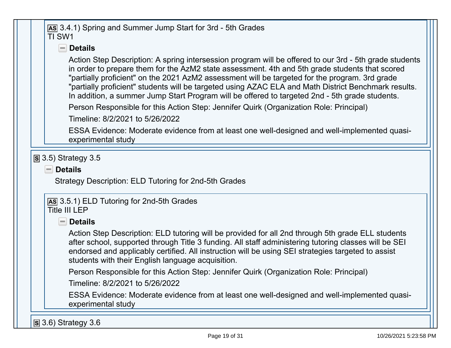|  | As 3.4.1) Spring and Summer Jump Start for 3rd - 5th Grades<br>TI SW1                                                                                                                                                                                                                                                                                                                                                                                                                                                |
|--|----------------------------------------------------------------------------------------------------------------------------------------------------------------------------------------------------------------------------------------------------------------------------------------------------------------------------------------------------------------------------------------------------------------------------------------------------------------------------------------------------------------------|
|  | $\blacksquare$ Details                                                                                                                                                                                                                                                                                                                                                                                                                                                                                               |
|  | Action Step Description: A spring intersession program will be offered to our 3rd - 5th grade students<br>in order to prepare them for the AzM2 state assessment. 4th and 5th grade students that scored<br>"partially proficient" on the 2021 AzM2 assessment will be targeted for the program. 3rd grade<br>"partially proficient" students will be targeted using AZAC ELA and Math District Benchmark results.<br>In addition, a summer Jump Start Program will be offered to targeted 2nd - 5th grade students. |
|  | Person Responsible for this Action Step: Jennifer Quirk (Organization Role: Principal)                                                                                                                                                                                                                                                                                                                                                                                                                               |
|  | Timeline: 8/2/2021 to 5/26/2022                                                                                                                                                                                                                                                                                                                                                                                                                                                                                      |
|  | ESSA Evidence: Moderate evidence from at least one well-designed and well-implemented quasi-<br>experimental study                                                                                                                                                                                                                                                                                                                                                                                                   |
|  | $\boxed{S}$ 3.5) Strategy 3.5                                                                                                                                                                                                                                                                                                                                                                                                                                                                                        |
|  | $\blacksquare$ Details                                                                                                                                                                                                                                                                                                                                                                                                                                                                                               |
|  | Strategy Description: ELD Tutoring for 2nd-5th Grades                                                                                                                                                                                                                                                                                                                                                                                                                                                                |
|  | As 3.5.1) ELD Tutoring for 2nd-5th Grades<br><b>Title III LEP</b>                                                                                                                                                                                                                                                                                                                                                                                                                                                    |
|  | $\blacksquare$ Details                                                                                                                                                                                                                                                                                                                                                                                                                                                                                               |
|  | Action Step Description: ELD tutoring will be provided for all 2nd through 5th grade ELL students<br>after school, supported through Title 3 funding. All staff administering tutoring classes will be SEI<br>endorsed and applicably certified. All instruction will be using SEI strategies targeted to assist<br>students with their English language acquisition.                                                                                                                                                |
|  | Person Responsible for this Action Step: Jennifer Quirk (Organization Role: Principal)                                                                                                                                                                                                                                                                                                                                                                                                                               |

Timeline: 8/2/2021 to 5/26/2022

 ESSA Evidence: Moderate evidence from at least one well-designed and well-implemented quasiexperimental study

**S** 3.6) Strategy 3.6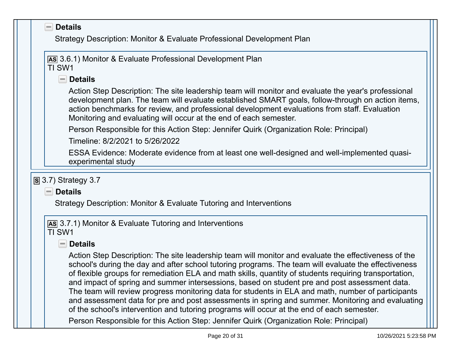| Strategy Description: Monitor & Evaluate Professional Development Plan                                                                                                                                                                                                                                                                                                                                                                                                                                                                                                                                                                                                                                                          |
|---------------------------------------------------------------------------------------------------------------------------------------------------------------------------------------------------------------------------------------------------------------------------------------------------------------------------------------------------------------------------------------------------------------------------------------------------------------------------------------------------------------------------------------------------------------------------------------------------------------------------------------------------------------------------------------------------------------------------------|
| AS 3.6.1) Monitor & Evaluate Professional Development Plan<br>TI SW1                                                                                                                                                                                                                                                                                                                                                                                                                                                                                                                                                                                                                                                            |
| <b>Details</b><br>$=$                                                                                                                                                                                                                                                                                                                                                                                                                                                                                                                                                                                                                                                                                                           |
| Action Step Description: The site leadership team will monitor and evaluate the year's professional<br>development plan. The team will evaluate established SMART goals, follow-through on action items,<br>action benchmarks for review, and professional development evaluations from staff. Evaluation<br>Monitoring and evaluating will occur at the end of each semester.                                                                                                                                                                                                                                                                                                                                                  |
| Person Responsible for this Action Step: Jennifer Quirk (Organization Role: Principal)                                                                                                                                                                                                                                                                                                                                                                                                                                                                                                                                                                                                                                          |
| Timeline: 8/2/2021 to 5/26/2022                                                                                                                                                                                                                                                                                                                                                                                                                                                                                                                                                                                                                                                                                                 |
| ESSA Evidence: Moderate evidence from at least one well-designed and well-implemented quasi-                                                                                                                                                                                                                                                                                                                                                                                                                                                                                                                                                                                                                                    |
| experimental study                                                                                                                                                                                                                                                                                                                                                                                                                                                                                                                                                                                                                                                                                                              |
|                                                                                                                                                                                                                                                                                                                                                                                                                                                                                                                                                                                                                                                                                                                                 |
| $S$ 3.7) Strategy 3.7<br>$\blacksquare$ Details                                                                                                                                                                                                                                                                                                                                                                                                                                                                                                                                                                                                                                                                                 |
| Strategy Description: Monitor & Evaluate Tutoring and Interventions                                                                                                                                                                                                                                                                                                                                                                                                                                                                                                                                                                                                                                                             |
|                                                                                                                                                                                                                                                                                                                                                                                                                                                                                                                                                                                                                                                                                                                                 |
| AS 3.7.1) Monitor & Evaluate Tutoring and Interventions<br>TI SW1                                                                                                                                                                                                                                                                                                                                                                                                                                                                                                                                                                                                                                                               |
| <b>Details</b><br>$\equiv$                                                                                                                                                                                                                                                                                                                                                                                                                                                                                                                                                                                                                                                                                                      |
| Action Step Description: The site leadership team will monitor and evaluate the effectiveness of the<br>school's during the day and after school tutoring programs. The team will evaluate the effectiveness<br>of flexible groups for remediation ELA and math skills, quantity of students requiring transportation,<br>and impact of spring and summer intersessions, based on student pre and post assessment data.<br>The team will review progress monitoring data for students in ELA and math, number of participants<br>and assessment data for pre and post assessments in spring and summer. Monitoring and evaluating<br>of the school's intervention and tutoring programs will occur at the end of each semester. |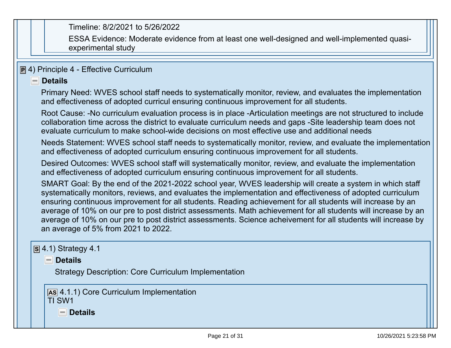Timeline: 8/2/2021 to 5/26/2022

 ESSA Evidence: Moderate evidence from at least one well-designed and well-implemented quasiexperimental study

# **P** 4) Principle 4 - Effective Curriculum

#### **Details**

Primary Need: WVES school staff needs to systematically monitor, review, and evaluates the implementationand effectiveness of adopted curricul ensuring continuous improvement for all students.

Root Cause: -No curriculum evaluation process is in place -Articulation meetings are not structured to includecollaboration time across the district to evaluate curriculum needs and gaps -Site leadership team does notevaluate curriculum to make school-wide decisions on most effective use and additional needs

Needs Statement: WVES school staff needs to systematically monitor, review, and evaluate the implementationand effectiveness of adopted curriculum ensuring continuous improvement for all students.

Desired Outcomes: WVES school staff will systematically monitor, review, and evaluate the implementationand effectiveness of adopted curriculum ensuring continuous improvement for all students.

SMART Goal: By the end of the 2021-2022 school year, WVES leadership will create a system in which staff systematically monitors, reviews, and evaluates the implementation and effectiveness of adopted curriculum ensuring continuous improvement for all students. Reading achievement for all students will increase by an average of 10% on our pre to post district assessments. Math achievement for all students will increase by an average of 10% on our pre to post district assessments. Science acheivement for all students will increase byan average of 5% from 2021 to 2022.

# **S** 4.1) Strategy 4.1

**Details**

Strategy Description: Core Curriculum Implementation

**AS** 4.1.1) Core Curriculum ImplementationTI SW1

**Details**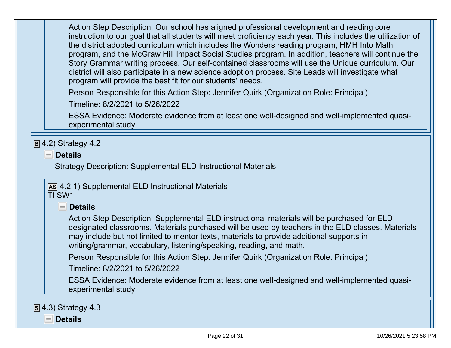| Action Step Description: Our school has aligned professional development and reading core<br>instruction to our goal that all students will meet proficiency each year. This includes the utilization of<br>the district adopted curriculum which includes the Wonders reading program, HMH Into Math<br>program, and the McGraw Hill Impact Social Studies program. In addition, teachers will continue the<br>Story Grammar writing process. Our self-contained classrooms will use the Unique curriculum. Our<br>district will also participate in a new science adoption process. Site Leads will investigate what<br>program will provide the best fit for our students' needs. |
|--------------------------------------------------------------------------------------------------------------------------------------------------------------------------------------------------------------------------------------------------------------------------------------------------------------------------------------------------------------------------------------------------------------------------------------------------------------------------------------------------------------------------------------------------------------------------------------------------------------------------------------------------------------------------------------|
| Person Responsible for this Action Step: Jennifer Quirk (Organization Role: Principal)                                                                                                                                                                                                                                                                                                                                                                                                                                                                                                                                                                                               |
| Timeline: 8/2/2021 to 5/26/2022                                                                                                                                                                                                                                                                                                                                                                                                                                                                                                                                                                                                                                                      |
| ESSA Evidence: Moderate evidence from at least one well-designed and well-implemented quasi-<br>experimental study                                                                                                                                                                                                                                                                                                                                                                                                                                                                                                                                                                   |
| $\blacksquare$ Details<br><b>Strategy Description: Supplemental ELD Instructional Materials</b>                                                                                                                                                                                                                                                                                                                                                                                                                                                                                                                                                                                      |
| AS 4.2.1) Supplemental ELD Instructional Materials<br>TI SW1                                                                                                                                                                                                                                                                                                                                                                                                                                                                                                                                                                                                                         |
| $\blacksquare$ Details                                                                                                                                                                                                                                                                                                                                                                                                                                                                                                                                                                                                                                                               |
| Action Step Description: Supplemental ELD instructional materials will be purchased for ELD<br>designated classrooms. Materials purchased will be used by teachers in the ELD classes. Materials<br>may include but not limited to mentor texts, materials to provide additional supports in<br>writing/grammar, vocabulary, listening/speaking, reading, and math.                                                                                                                                                                                                                                                                                                                  |
| Person Responsible for this Action Step: Jennifer Quirk (Organization Role: Principal)                                                                                                                                                                                                                                                                                                                                                                                                                                                                                                                                                                                               |
| Timeline: 8/2/2021 to 5/26/2022                                                                                                                                                                                                                                                                                                                                                                                                                                                                                                                                                                                                                                                      |
| ESSA Evidence: Moderate evidence from at least one well-designed and well-implemented quasi-<br>experimental study                                                                                                                                                                                                                                                                                                                                                                                                                                                                                                                                                                   |
| $S$ 4.3) Strategy 4.3                                                                                                                                                                                                                                                                                                                                                                                                                                                                                                                                                                                                                                                                |
| <b>Details</b>                                                                                                                                                                                                                                                                                                                                                                                                                                                                                                                                                                                                                                                                       |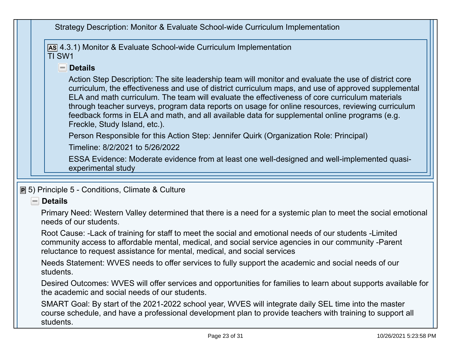|  | Strategy Description: Monitor & Evaluate School-wide Curriculum Implementation                                                                                                                                                                                                                                                                                                                                                                                                                                                                       |
|--|------------------------------------------------------------------------------------------------------------------------------------------------------------------------------------------------------------------------------------------------------------------------------------------------------------------------------------------------------------------------------------------------------------------------------------------------------------------------------------------------------------------------------------------------------|
|  | [AS] 4.3.1) Monitor & Evaluate School-wide Curriculum Implementation<br>TI SW1                                                                                                                                                                                                                                                                                                                                                                                                                                                                       |
|  | $\blacksquare$ Details                                                                                                                                                                                                                                                                                                                                                                                                                                                                                                                               |
|  | Action Step Description: The site leadership team will monitor and evaluate the use of district core<br>curriculum, the effectiveness and use of district curriculum maps, and use of approved supplemental<br>ELA and math curriculum. The team will evaluate the effectiveness of core curriculum materials<br>through teacher surveys, program data reports on usage for online resources, reviewing curriculum<br>feedback forms in ELA and math, and all available data for supplemental online programs (e.g.<br>Freckle, Study Island, etc.). |
|  | Person Responsible for this Action Step: Jennifer Quirk (Organization Role: Principal)                                                                                                                                                                                                                                                                                                                                                                                                                                                               |
|  | Timeline: 8/2/2021 to 5/26/2022                                                                                                                                                                                                                                                                                                                                                                                                                                                                                                                      |
|  | ESSA Evidence: Moderate evidence from at least one well-designed and well-implemented quasi-<br>experimental study                                                                                                                                                                                                                                                                                                                                                                                                                                   |
|  |                                                                                                                                                                                                                                                                                                                                                                                                                                                                                                                                                      |
|  |                                                                                                                                                                                                                                                                                                                                                                                                                                                                                                                                                      |
|  | <b>P</b> 5) Principle 5 - Conditions, Climate & Culture                                                                                                                                                                                                                                                                                                                                                                                                                                                                                              |
|  | $\blacksquare$ Details                                                                                                                                                                                                                                                                                                                                                                                                                                                                                                                               |
|  | Primary Need: Western Valley determined that there is a need for a systemic plan to meet the social emotional<br>needs of our students.                                                                                                                                                                                                                                                                                                                                                                                                              |
|  | Root Cause: -Lack of training for staff to meet the social and emotional needs of our students -Limited<br>community access to affordable mental, medical, and social service agencies in our community -Parent<br>reluctance to request assistance for mental, medical, and social services                                                                                                                                                                                                                                                         |
|  | Needs Statement: WVES needs to offer services to fully support the academic and social needs of our<br>students.                                                                                                                                                                                                                                                                                                                                                                                                                                     |
|  | Desired Outcomes: WVES will offer services and opportunities for families to learn about supports available for<br>the academic and social needs of our students.                                                                                                                                                                                                                                                                                                                                                                                    |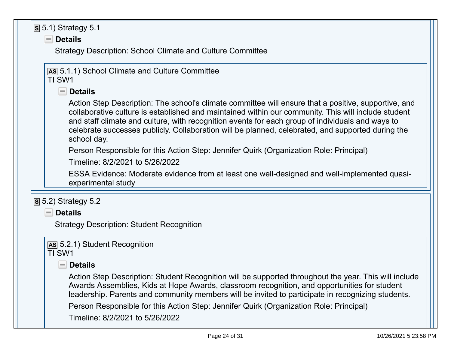| $S$ 5.1) Strategy 5.1                                                                                                                                                                                                                                                                                                                                                                                                               |
|-------------------------------------------------------------------------------------------------------------------------------------------------------------------------------------------------------------------------------------------------------------------------------------------------------------------------------------------------------------------------------------------------------------------------------------|
| $\blacksquare$ Details                                                                                                                                                                                                                                                                                                                                                                                                              |
| <b>Strategy Description: School Climate and Culture Committee</b>                                                                                                                                                                                                                                                                                                                                                                   |
|                                                                                                                                                                                                                                                                                                                                                                                                                                     |
| AS 5.1.1) School Climate and Culture Committee<br>TI SW1                                                                                                                                                                                                                                                                                                                                                                            |
| $\blacksquare$ Details                                                                                                                                                                                                                                                                                                                                                                                                              |
|                                                                                                                                                                                                                                                                                                                                                                                                                                     |
| Action Step Description: The school's climate committee will ensure that a positive, supportive, and<br>collaborative culture is established and maintained within our community. This will include student<br>and staff climate and culture, with recognition events for each group of individuals and ways to<br>celebrate successes publicly. Collaboration will be planned, celebrated, and supported during the<br>school day. |
| Person Responsible for this Action Step: Jennifer Quirk (Organization Role: Principal)                                                                                                                                                                                                                                                                                                                                              |
| Timeline: 8/2/2021 to 5/26/2022                                                                                                                                                                                                                                                                                                                                                                                                     |
| ESSA Evidence: Moderate evidence from at least one well-designed and well-implemented quasi-<br>experimental study                                                                                                                                                                                                                                                                                                                  |
| $\overline{S}$ 5.2) Strategy 5.2                                                                                                                                                                                                                                                                                                                                                                                                    |
| $\blacksquare$ Details                                                                                                                                                                                                                                                                                                                                                                                                              |
| <b>Strategy Description: Student Recognition</b>                                                                                                                                                                                                                                                                                                                                                                                    |
|                                                                                                                                                                                                                                                                                                                                                                                                                                     |
| AS 5.2.1) Student Recognition                                                                                                                                                                                                                                                                                                                                                                                                       |
| TI SW1                                                                                                                                                                                                                                                                                                                                                                                                                              |
| <b>Details</b>                                                                                                                                                                                                                                                                                                                                                                                                                      |
| Action Step Description: Student Recognition will be supported throughout the year. This will include<br>Awards Assemblies, Kids at Hope Awards, classroom recognition, and opportunities for student<br>leadership. Parents and community members will be invited to participate in recognizing students.                                                                                                                          |
| Person Responsible for this Action Step: Jennifer Quirk (Organization Role: Principal)<br>Timeline: 8/2/2021 to 5/26/2022                                                                                                                                                                                                                                                                                                           |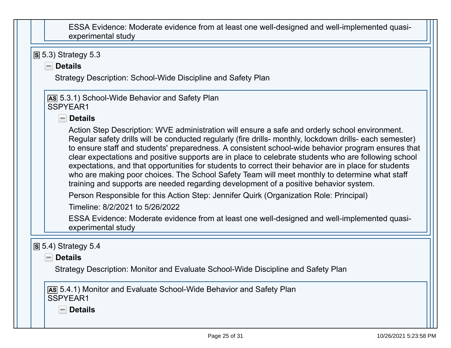| ESSA Evidence: Moderate evidence from at least one well-designed and well-implemented quasi-<br>experimental study                                                                                                                                                                                                                                                                                                                                                                                                                                                                                                                                                                                                          |
|-----------------------------------------------------------------------------------------------------------------------------------------------------------------------------------------------------------------------------------------------------------------------------------------------------------------------------------------------------------------------------------------------------------------------------------------------------------------------------------------------------------------------------------------------------------------------------------------------------------------------------------------------------------------------------------------------------------------------------|
| $\overline{S}$ 5.3) Strategy 5.3                                                                                                                                                                                                                                                                                                                                                                                                                                                                                                                                                                                                                                                                                            |
| $\blacksquare$ Details<br>Strategy Description: School-Wide Discipline and Safety Plan                                                                                                                                                                                                                                                                                                                                                                                                                                                                                                                                                                                                                                      |
|                                                                                                                                                                                                                                                                                                                                                                                                                                                                                                                                                                                                                                                                                                                             |
| AS 5.3.1) School-Wide Behavior and Safety Plan<br>SSPYEAR1                                                                                                                                                                                                                                                                                                                                                                                                                                                                                                                                                                                                                                                                  |
| $\blacksquare$ Details                                                                                                                                                                                                                                                                                                                                                                                                                                                                                                                                                                                                                                                                                                      |
| Action Step Description: WVE administration will ensure a safe and orderly school environment.<br>Regular safety drills will be conducted regularly (fire drills- monthly, lockdown drills- each semester)<br>to ensure staff and students' preparedness. A consistent school-wide behavior program ensures that<br>clear expectations and positive supports are in place to celebrate students who are following school<br>expectations, and that opportunities for students to correct their behavior are in place for students<br>who are making poor choices. The School Safety Team will meet monthly to determine what staff<br>training and supports are needed regarding development of a positive behavior system. |
| Person Responsible for this Action Step: Jennifer Quirk (Organization Role: Principal)                                                                                                                                                                                                                                                                                                                                                                                                                                                                                                                                                                                                                                      |
| Timeline: 8/2/2021 to 5/26/2022                                                                                                                                                                                                                                                                                                                                                                                                                                                                                                                                                                                                                                                                                             |
| ESSA Evidence: Moderate evidence from at least one well-designed and well-implemented quasi-<br>experimental study                                                                                                                                                                                                                                                                                                                                                                                                                                                                                                                                                                                                          |
| $\overline{S}$ 5.4) Strategy 5.4<br><b>Details</b><br>$=$<br>Strategy Description: Monitor and Evaluate School-Wide Discipline and Safety Plan                                                                                                                                                                                                                                                                                                                                                                                                                                                                                                                                                                              |
| AS 5.4.1) Monitor and Evaluate School-Wide Behavior and Safety Plan<br>SSPYEAR1<br><b>Details</b>                                                                                                                                                                                                                                                                                                                                                                                                                                                                                                                                                                                                                           |
|                                                                                                                                                                                                                                                                                                                                                                                                                                                                                                                                                                                                                                                                                                                             |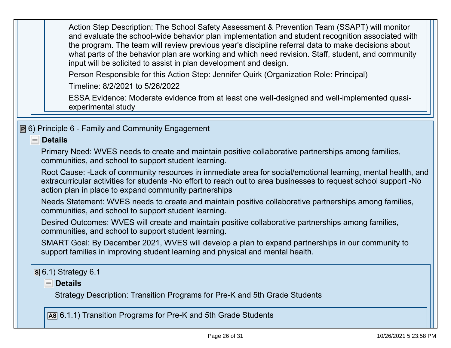Action Step Description: The School Safety Assessment & Prevention Team (SSAPT) will monitor and evaluate the school-wide behavior plan implementation and student recognition associated withthe program. The team will review previous year's discipline referral data to make decisions about what parts of the behavior plan are working and which need revision. Staff, student, and communityinput will be solicited to assist in plan development and design.

Person Responsible for this Action Step: Jennifer Quirk (Organization Role: Principal)

Timeline: 8/2/2021 to 5/26/2022

 ESSA Evidence: Moderate evidence from at least one well-designed and well-implemented quasiexperimental study

**P** 6) Principle 6 - Family and Community Engagement

#### **Details**

 Primary Need: WVES needs to create and maintain positive collaborative partnerships among families,communities, and school to support student learning.

Root Cause: -Lack of community resources in immediate area for social/emotional learning, mental health, andextracurricular activities for students -No effort to reach out to area businesses to request school support -Noaction plan in place to expand community partnerships

Needs Statement: WVES needs to create and maintain positive collaborative partnerships among families,communities, and school to support student learning.

Desired Outcomes: WVES will create and maintain positive collaborative partnerships among families,communities, and school to support student learning.

SMART Goal: By December 2021, WVES will develop a plan to expand partnerships in our community tosupport families in improving student learning and physical and mental health.

# **S** 6.1) Strategy 6.1

#### **Details**

Strategy Description: Transition Programs for Pre-K and 5th Grade Students

**AS** 6.1.1) Transition Programs for Pre-K and 5th Grade Students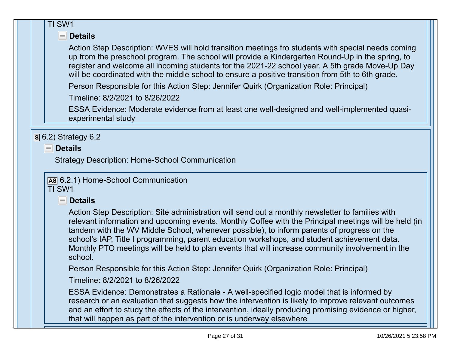#### TI SW1

### **Details**

 Action Step Description: WVES will hold transition meetings fro students with special needs comingup from the preschool program. The school will provide a Kindergarten Round-Up in the spring, to register and welcome all incoming students for the 2021-22 school year. A 5th grade Move-Up Daywill be coordinated with the middle school to ensure a positive transition from 5th to 6th grade.

Person Responsible for this Action Step: Jennifer Quirk (Organization Role: Principal)

Timeline: 8/2/2021 to 8/26/2022

 ESSA Evidence: Moderate evidence from at least one well-designed and well-implemented quasiexperimental study

**S** 6.2) Strategy 6.2

**Details**

Strategy Description: Home-School Communication

**AS** 6.2.1) Home-School CommunicationTI SW1

### **Details**

 Action Step Description: Site administration will send out a monthly newsletter to families with relevant information and upcoming events. Monthly Coffee with the Principal meetings will be held (intandem with the WV Middle School, whenever possible), to inform parents of progress on the school's IAP, Title I programming, parent education workshops, and student achievement data. Monthly PTO meetings will be held to plan events that will increase community involvement in theschool.

Person Responsible for this Action Step: Jennifer Quirk (Organization Role: Principal)

Timeline: 8/2/2021 to 8/26/2022

 ESSA Evidence: Demonstrates a Rationale - A well-specified logic model that is informed by research or an evaluation that suggests how the intervention is likely to improve relevant outcomes and an effort to study the effects of the intervention, ideally producing promising evidence or higher,that will happen as part of the intervention or is underway elsewhere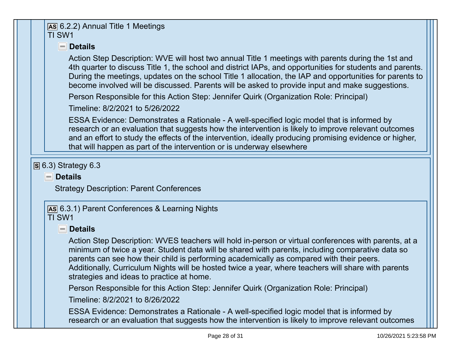#### **AS** 6.2.2) Annual Title 1 MeetingsTI SW1

### **Details**

 Action Step Description: WVE will host two annual Title 1 meetings with parents during the 1st and 4th quarter to discuss Title 1, the school and district IAPs, and opportunities for students and parents. During the meetings, updates on the school Title 1 allocation, the IAP and opportunities for parents tobecome involved will be discussed. Parents will be asked to provide input and make suggestions.

Person Responsible for this Action Step: Jennifer Quirk (Organization Role: Principal)

Timeline: 8/2/2021 to 5/26/2022

 ESSA Evidence: Demonstrates a Rationale - A well-specified logic model that is informed by research or an evaluation that suggests how the intervention is likely to improve relevant outcomes and an effort to study the effects of the intervention, ideally producing promising evidence or higher,that will happen as part of the intervention or is underway elsewhere

# **S** 6.3) Strategy 6.3

### **Details**

Strategy Description: Parent Conferences

**AS** 6.3.1) Parent Conferences & Learning NightsTI SW1

### **Details**

 Action Step Description: WVES teachers will hold in-person or virtual conferences with parents, at aminimum of twice a year. Student data will be shared with parents, including comparative data soparents can see how their child is performing academically as compared with their peers. Additionally, Curriculum Nights will be hosted twice a year, where teachers will share with parentsstrategies and ideas to practice at home.

Person Responsible for this Action Step: Jennifer Quirk (Organization Role: Principal)

Timeline: 8/2/2021 to 8/26/2022

 ESSA Evidence: Demonstrates a Rationale - A well-specified logic model that is informed byresearch or an evaluation that suggests how the intervention is likely to improve relevant outcomes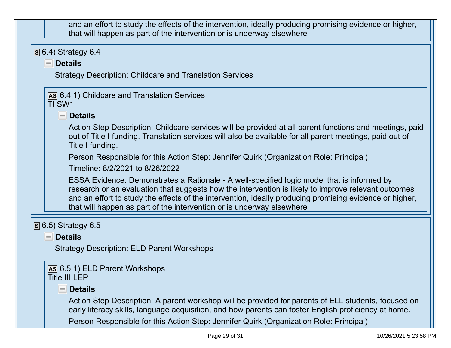| and an effort to study the effects of the intervention, ideally producing promising evidence or higher,<br>that will happen as part of the intervention or is underway elsewhere                                                                                                                                                                                                      |
|---------------------------------------------------------------------------------------------------------------------------------------------------------------------------------------------------------------------------------------------------------------------------------------------------------------------------------------------------------------------------------------|
| $\overline{S}$ 6.4) Strategy 6.4                                                                                                                                                                                                                                                                                                                                                      |
| $\blacksquare$ Details                                                                                                                                                                                                                                                                                                                                                                |
| <b>Strategy Description: Childcare and Translation Services</b>                                                                                                                                                                                                                                                                                                                       |
| AS 6.4.1) Childcare and Translation Services<br>TI SW1                                                                                                                                                                                                                                                                                                                                |
| - Details                                                                                                                                                                                                                                                                                                                                                                             |
| Action Step Description: Childcare services will be provided at all parent functions and meetings, paid<br>out of Title I funding. Translation services will also be available for all parent meetings, paid out of<br>Title I funding.                                                                                                                                               |
| Person Responsible for this Action Step: Jennifer Quirk (Organization Role: Principal)                                                                                                                                                                                                                                                                                                |
| Timeline: 8/2/2021 to 8/26/2022                                                                                                                                                                                                                                                                                                                                                       |
| ESSA Evidence: Demonstrates a Rationale - A well-specified logic model that is informed by<br>research or an evaluation that suggests how the intervention is likely to improve relevant outcomes<br>and an effort to study the effects of the intervention, ideally producing promising evidence or higher,<br>that will happen as part of the intervention or is underway elsewhere |
| $\overline{S}$ 6.5) Strategy 6.5                                                                                                                                                                                                                                                                                                                                                      |
| <b>Details</b><br>$=$                                                                                                                                                                                                                                                                                                                                                                 |
| <b>Strategy Description: ELD Parent Workshops</b>                                                                                                                                                                                                                                                                                                                                     |
| AS 6.5.1) ELD Parent Workshops<br>Title III LEP                                                                                                                                                                                                                                                                                                                                       |
| <b>Details</b><br>$\equiv$                                                                                                                                                                                                                                                                                                                                                            |
| Action Step Description: A parent workshop will be provided for parents of ELL students, focused on<br>early literacy skills, language acquisition, and how parents can foster English proficiency at home.                                                                                                                                                                           |
| Person Responsible for this Action Step: Jennifer Quirk (Organization Role: Principal)                                                                                                                                                                                                                                                                                                |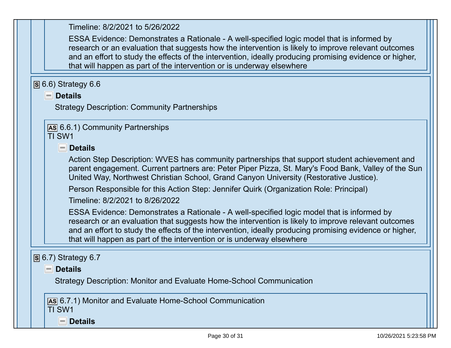| Timeline: 8/2/2021 to 5/26/2022                                                                                                                                                                                                                                                                                                                                                       |
|---------------------------------------------------------------------------------------------------------------------------------------------------------------------------------------------------------------------------------------------------------------------------------------------------------------------------------------------------------------------------------------|
| ESSA Evidence: Demonstrates a Rationale - A well-specified logic model that is informed by<br>research or an evaluation that suggests how the intervention is likely to improve relevant outcomes<br>and an effort to study the effects of the intervention, ideally producing promising evidence or higher,<br>that will happen as part of the intervention or is underway elsewhere |
| $\overline{S}$ 6.6) Strategy 6.6                                                                                                                                                                                                                                                                                                                                                      |
| $\blacksquare$ Details                                                                                                                                                                                                                                                                                                                                                                |
| <b>Strategy Description: Community Partnerships</b>                                                                                                                                                                                                                                                                                                                                   |
| As 6.6.1) Community Partnerships<br>TI SW1                                                                                                                                                                                                                                                                                                                                            |
| $\blacksquare$ Details                                                                                                                                                                                                                                                                                                                                                                |
| Action Step Description: WVES has community partnerships that support student achievement and<br>parent engagement. Current partners are: Peter Piper Pizza, St. Mary's Food Bank, Valley of the Sun<br>United Way, Northwest Christian School, Grand Canyon University (Restorative Justice).                                                                                        |
| Person Responsible for this Action Step: Jennifer Quirk (Organization Role: Principal)                                                                                                                                                                                                                                                                                                |
| Timeline: 8/2/2021 to 8/26/2022                                                                                                                                                                                                                                                                                                                                                       |
| ESSA Evidence: Demonstrates a Rationale - A well-specified logic model that is informed by<br>research or an evaluation that suggests how the intervention is likely to improve relevant outcomes<br>and an effort to study the effects of the intervention, ideally producing promising evidence or higher,<br>that will happen as part of the intervention or is underway elsewhere |
| $\boxed{S}$ 6.7) Strategy 6.7                                                                                                                                                                                                                                                                                                                                                         |
| <b>Details</b>                                                                                                                                                                                                                                                                                                                                                                        |
| Strategy Description: Monitor and Evaluate Home-School Communication                                                                                                                                                                                                                                                                                                                  |
|                                                                                                                                                                                                                                                                                                                                                                                       |
| [AS 6.7.1) Monitor and Evaluate Home-School Communication<br>TI SW1                                                                                                                                                                                                                                                                                                                   |
| <b>Details</b><br>$\sim$                                                                                                                                                                                                                                                                                                                                                              |
|                                                                                                                                                                                                                                                                                                                                                                                       |